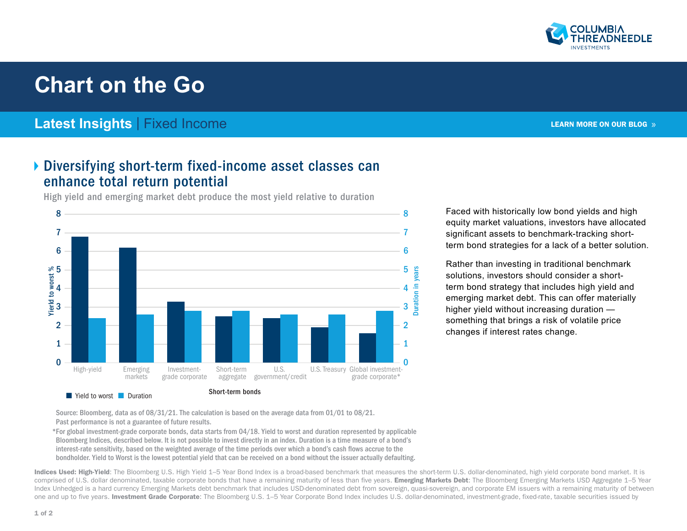

## **Chart on the Go**

## **Latest Insights** | Fixed Income

## Diversifying short-term fixed-income asset classes can enhance total return potential

High yield and emerging market debt produce the most yield relative to duration



Faced with historically low bond yields and high equity market valuations, investors have allocated significant assets to benchmark-tracking shortterm bond strategies for a lack of a better solution.

Rather than investing in traditional benchmark solutions, investors should consider a shortterm bond strategy that includes high yield and emerging market debt. This can offer materially higher yield without increasing duration something that brings a risk of volatile price changes if interest rates change.

Source: Bloomberg, data as of 08/31/21. The calculation is based on the average data from 01/01 to 08/21. Past performance is not a guarantee of future results.

\*For global investment-grade corporate bonds, data starts from 04/18. Yield to worst and duration represented by applicable Bloomberg Indices, described below. It is not possible to invest directly in an index. Duration is a time measure of a bond's interest-rate sensitivity, based on the weighted average of the time periods over which a bond's cash flows accrue to the bondholder. Yield to Worst is the lowest potential yield that can be received on a bond without the issuer actually defaulting.

Indices Used: High-Yield: The Bloomberg U.S. High Yield 1–5 Year Bond Index is a broad-based benchmark that measures the short-term U.S. dollar-denominated, high yield corporate bond market. It is comprised of U.S. dollar denominated, taxable corporate bonds that have a remaining maturity of less than five years. **Emerging Markets Debt**: The Bloomberg Emerging Markets USD Aggregate 1–5 Year Index Unhedged is a hard currency Emerging Markets debt benchmark that includes USD-denominated debt from sovereign, quasi-sovereign, and corporate EM issuers with a remaining maturity of between one and up to five years. Investment Grade Corporate: The Bloomberg U.S. 1–5 Year Corporate Bond Index includes U.S. dollar-denominated, investment-grade, fixed-rate, taxable securities issued by

[LEARN MORE ON OUR BLOG](https://www.columbiathreadneedleus.com/blog) »